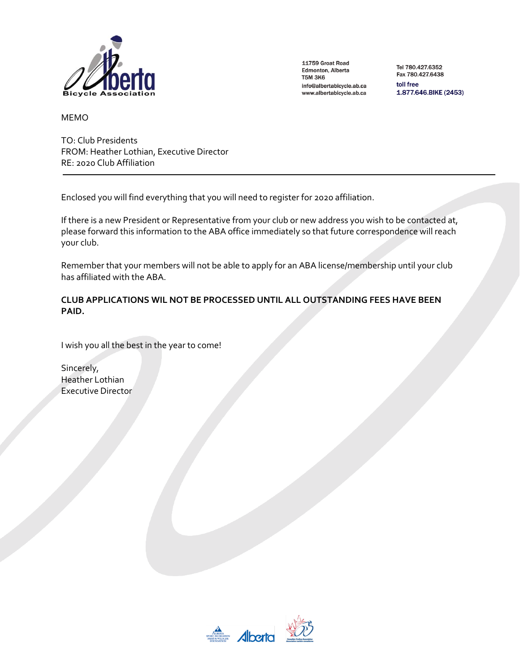

Tel 780.427.6352 Fax 780.427.6438 toll free

1.877.646.BIKE (2453)

MEMO

TO: Club Presidents FROM: Heather Lothian, Executive Director RE: 2020 Club Affiliation

Enclosed you will find everything that you will need to register for 2020 affiliation.

If there is a new President or Representative from your club or new address you wish to be contacted at, please forward this information to the ABA office immediately so that future correspondence will reach your club.

Remember that your members will not be able to apply for an ABA license/membership until your club has affiliated with the ABA.

# **CLUB APPLICATIONS WIL NOT BE PROCESSED UNTIL ALL OUTSTANDING FEES HAVE BEEN PAID.**

I wish you all the best in the year to come!

Sincerely, Heather Lothian Executive Director

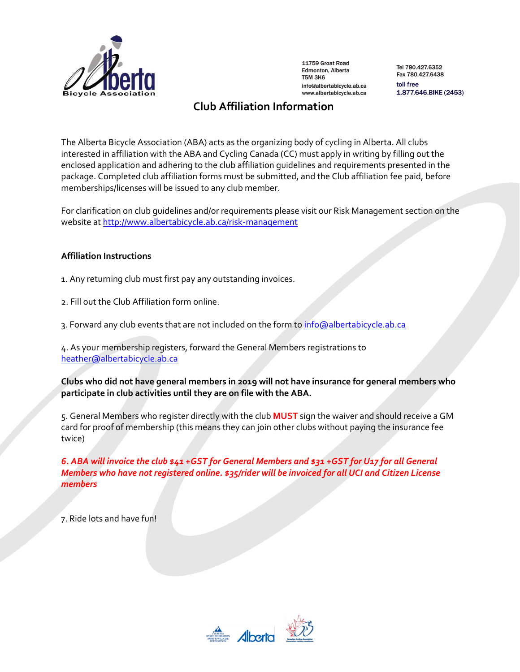

Tel 780.427.6352 Fax 780.427.6438 toll free 1.877.646.BIKE (2453)

# **Club Affiliation Information**

The Alberta Bicycle Association (ABA) acts as the organizing body of cycling in Alberta. All clubs interested in affiliation with the ABA and Cycling Canada (CC) must apply in writing by filling out the enclosed application and adhering to the club affiliation guidelines and requirements presented in the package. Completed club affiliation forms must be submitted, and the Club affiliation fee paid, before memberships/licenses will be issued to any club member.

For clarification on club guidelines and/or requirements please visit our Risk Management section on the website a[t http://www.albertabicycle.ab.ca/risk-management](http://www.albertabicycle.ab.ca/risk-management)

# **Affiliation Instructions**

- 1. Any returning club must first pay any outstanding invoices.
- 2. Fill out the Club Affiliation form online.
- 3. Forward any club events that are not included on the form to [info@albertabicycle.ab.ca](mailto:info@albertabicycle.ab.ca)

4. As your membership registers, forward the General Members registrations to [heather@albertabicycle.ab.ca](mailto:heather@albertabicycle.ab.ca)

**Clubs who did not have general members in 2019 will not have insurance for general members who participate in club activities until they are on file with the ABA.**

5. General Members who register directly with the club **MUST** sign the waiver and should receive a GM card for proof of membership (this means they can join other clubs without paying the insurance fee twice)

*6. ABA will invoice the club \$41 +GST for General Members and \$31 +GST for U17 for all General Members who have not registered online. \$35/rider will be invoiced for all UCI and Citizen License members*

7. Ride lots and have fun!

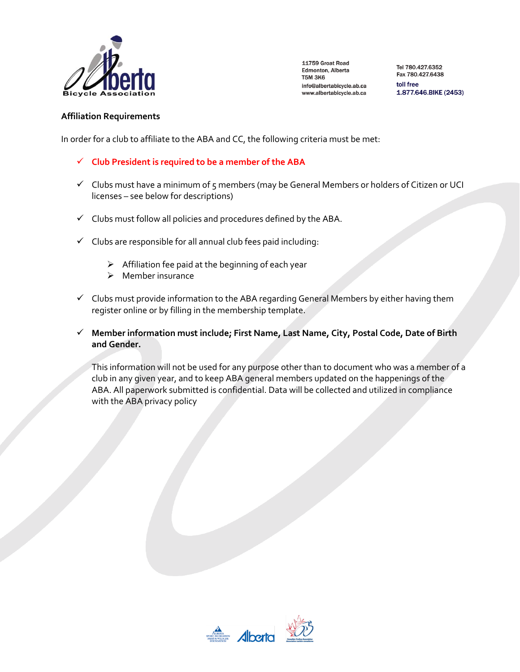

Tel 780.427.6352 Fax 780.427.6438 toll free 1.877.646.BIKE (2453)

### **Affiliation Requirements**

In order for a club to affiliate to the ABA and CC, the following criteria must be met:

- ✓ **Club President is required to be a member of the ABA**
- ✓ Clubs must have a minimum of 5 members (may be General Members or holders of Citizen or UCI licenses – see below for descriptions)
- $\checkmark$  Clubs must follow all policies and procedures defined by the ABA.
- $\checkmark$  Clubs are responsible for all annual club fees paid including:
	- $\triangleright$  Affiliation fee paid at the beginning of each year
	- ➢ Member insurance
- $\checkmark$  Clubs must provide information to the ABA regarding General Members by either having them register online or by filling in the membership template.
- ✓ **Member information must include; First Name, Last Name, City, Postal Code, Date of Birth and Gender.**

This information will not be used for any purpose other than to document who was a member of a club in any given year, and to keep ABA general members updated on the happenings of the ABA. All paperwork submitted is confidential. Data will be collected and utilized in compliance with the ABA privacy policy

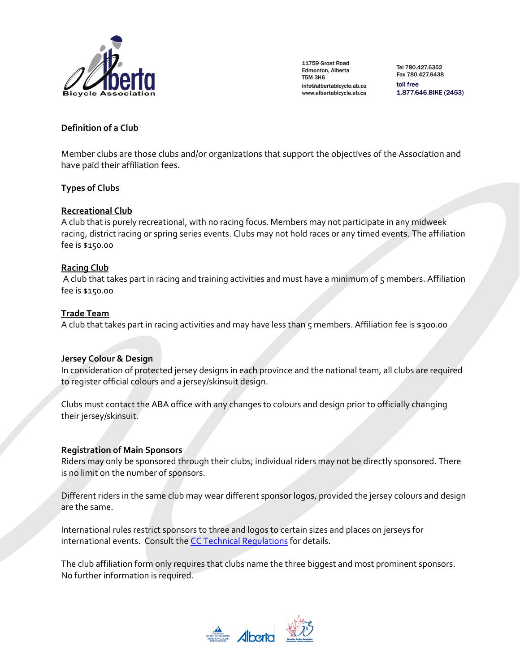

Tel 780.427.6352 Fax 780.427.6438 toll free 1.877.646.BIKE (2453)

# **Definition of a Club**

Member clubs are those clubs and/or organizations that support the objectives of the Association and have paid their affiliation fees.

### **Types of Clubs**

### **Recreational Club**

A club that is purely recreational, with no racing focus. Members may not participate in any midweek racing, district racing or spring series events. Clubs may not hold races or any timed events. The affiliation fee is \$150.00

### **Racing Club**

A club that takes part in racing and training activities and must have a minimum of 5 members. Affiliation fee is \$150.00

### **Trade Team**

A club that takes part in racing activities and may have less than 5 members. Affiliation fee is \$300.00

### **Jersey Colour & Design**

In consideration of protected jersey designs in each province and the national team, all clubs are required to register official colours and a jersey/skinsuit design.

Clubs must contact the ABA office with any changes to colours and design prior to officially changing their jersey/skinsuit.

### **Registration of Main Sponsors**

Riders may only be sponsored through their clubs; individual riders may not be directly sponsored. There is no limit on the number of sponsors.

Different riders in the same club may wear different sponsor logos, provided the jersey colours and design are the same.

International rules restrict sponsors to three and logos to certain sizes and places on jerseys for international events. Consult th[e CC Technical Regulations](http://www.cyclingcanada.ca/coaches-officials/commissaires-resources/) for details.

The club affiliation form only requires that clubs name the three biggest and most prominent sponsors. No further information is required.

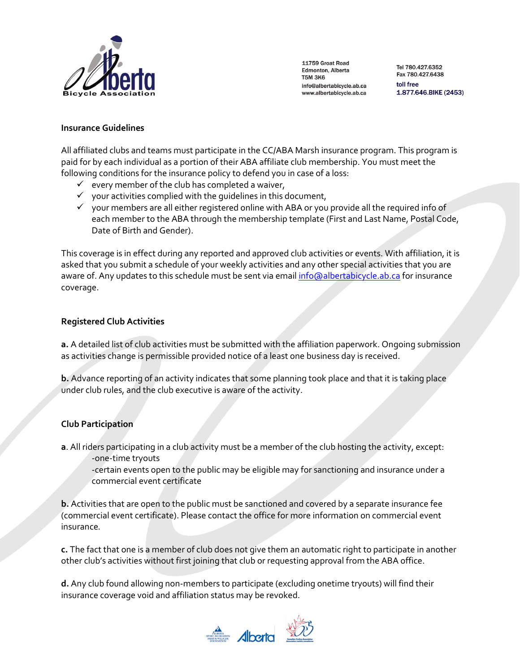

Tel 780.427.6352 Fax 780.427.6438 toll free 1.877.646.BIKE (2453)

### **Insurance Guidelines**

All affiliated clubs and teams must participate in the CC/ABA Marsh insurance program. This program is paid for by each individual as a portion of their ABA affiliate club membership. You must meet the following conditions for the insurance policy to defend you in case of a loss:

- $\checkmark$  every member of the club has completed a waiver,
- $\checkmark$  your activities complied with the quidelines in this document,
- $\checkmark$  your members are all either registered online with ABA or you provide all the required info of each member to the ABA through the membership template (First and Last Name, Postal Code, Date of Birth and Gender).

This coverage is in effect during any reported and approved club activities or events. With affiliation, it is asked that you submit a schedule of your weekly activities and any other special activities that you are aware of. Any updates to this schedule must be sent via emai[l info@albertabicycle.ab.ca](mailto:info@albertabicycle.ab.ca) for insurance coverage.

### **Registered Club Activities**

**a.** A detailed list of club activities must be submitted with the affiliation paperwork. Ongoing submission as activities change is permissible provided notice of a least one business day is received.

**b.** Advance reporting of an activity indicates that some planning took place and that it is taking place under club rules, and the club executive is aware of the activity.

### **Club Participation**

**a**. All riders participating in a club activity must be a member of the club hosting the activity, except: -one-time tryouts

-certain events open to the public may be eligible may for sanctioning and insurance under a commercial event certificate

**b.** Activities that are open to the public must be sanctioned and covered by a separate insurance fee (commercial event certificate). Please contact the office for more information on commercial event insurance*.*

**c.** The fact that one is a member of club does not give them an automatic right to participate in another other club's activities without first joining that club or requesting approval from the ABA office.

**d.** Any club found allowing non-members to participate (excluding onetime tryouts) will find their insurance coverage void and affiliation status may be revoked.

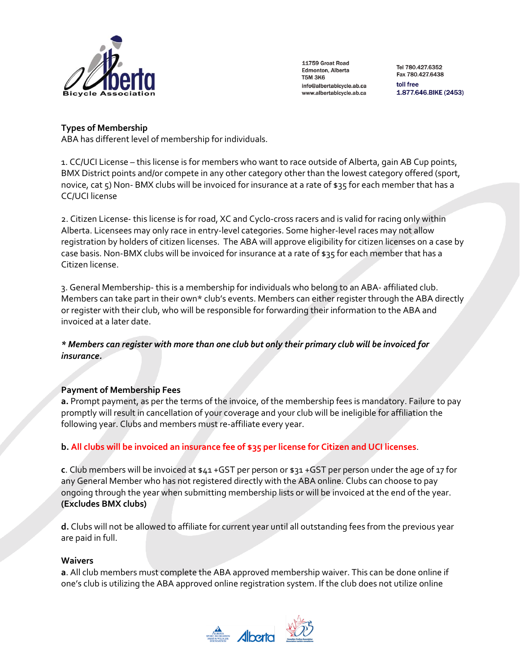

Tel 780.427.6352 Fax 780.427.6438 toll free 1.877.646.BIKE (2453)

# **Types of Membership**

ABA has different level of membership for individuals.

1. CC/UCI License – this license is for members who want to race outside of Alberta, gain AB Cup points, BMX District points and/or compete in any other category other than the lowest category offered (sport, novice, cat 5) Non- BMX clubs will be invoiced for insurance at a rate of \$35 for each member that has a CC/UCI license

2. Citizen License- this license is for road, XC and Cyclo-cross racers and is valid for racing only within Alberta. Licensees may only race in entry-level categories. Some higher-level races may not allow registration by holders of citizen licenses. The ABA will approve eligibility for citizen licenses on a case by case basis. Non-BMX clubs will be invoiced for insurance at a rate of \$35 for each member that has a Citizen license.

3. General Membership- this is a membership for individuals who belong to an ABA- affiliated club. Members can take part in their own\* club's events. Members can either register through the ABA directly or register with their club, who will be responsible for forwarding their information to the ABA and invoiced at a later date.

# *\* Members can register with more than one club but only their primary club will be invoiced for insurance.*

# **Payment of Membership Fees**

**a.** Prompt payment, as per the terms of the invoice, of the membership fees is mandatory. Failure to pay promptly will result in cancellation of your coverage and your club will be ineligible for affiliation the following year. Clubs and members must re-affiliate every year.

# **b. All clubs will be invoiced an insurance fee of \$35 per license for Citizen and UCI licenses**.

**c**. Club members will be invoiced at \$41 +GST per person or \$31 +GST per person under the age of 17 for any General Member who has not registered directly with the ABA online. Clubs can choose to pay ongoing through the year when submitting membership lists or will be invoiced at the end of the year. **(Excludes BMX clubs)**

**d.** Clubs will not be allowed to affiliate for current year until all outstanding fees from the previous year are paid in full.

### **Waivers**

**a**. All club members must complete the ABA approved membership waiver. This can be done online if one's club is utilizing the ABA approved online registration system. If the club does not utilize online

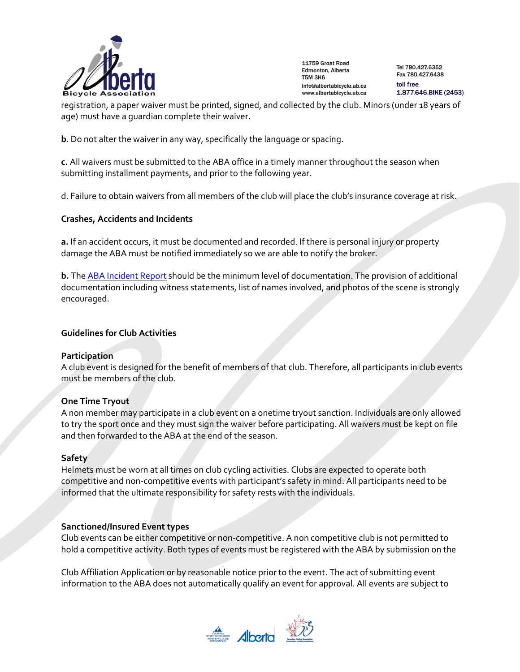

Tel 780.427.6352 Fax 780.427.6438 toll free 1.877.646.BIKE (2453)

registration, a paper waiver must be printed, signed, and collected by the club. Minors (under 18 years of age) must have a guardian complete their waiver.

**b**. Do not alter the waiver in any way, specifically the language or spacing.

**c.** All waivers must be submitted to the ABA office in a timely manner throughout the season when submitting installment payments, and prior to the following year.

d. Failure to obtain waivers from all members of the club will place the club's insurance coverage at risk.

### **Crashes, Accidents and Incidents**

**a.** If an accident occurs, it must be documented and recorded. If there is personal injury or property damage the ABA must be notified immediately so we are able to notify the broker.

**b.** Th[e ABA Incident Report](http://www.albertabicycle.ab.ca/uploads/files/Documents/commissaire/Incident%20Report.pdf) should be the minimum level of documentation. The provision of additional documentation including witness statements, list of names involved, and photos of the scene is strongly encouraged.

### **Guidelines for Club Activities**

#### **Participation**

A club event is designed for the benefit of members of that club. Therefore, all participants in club events must be members of the club.

### **One Time Tryout**

A non member may participate in a club event on a onetime tryout sanction. Individuals are only allowed to try the sport once and they must sign the waiver before participating. All waivers must be kept on file and then forwarded to the ABA at the end of the season.

### **Safety**

Helmets must be worn at all times on club cycling activities. Clubs are expected to operate both competitive and non-competitive events with participant's safety in mind. All participants need to be informed that the ultimate responsibility for safety rests with the individuals.

### **Sanctioned/Insured Event types**

Club events can be either competitive or non-competitive. A non competitive club is not permitted to hold a competitive activity. Both types of events must be registered with the ABA by submission on the

Club Affiliation Application or by reasonable notice prior to the event. The act of submitting event information to the ABA does not automatically qualify an event for approval. All events are subject to